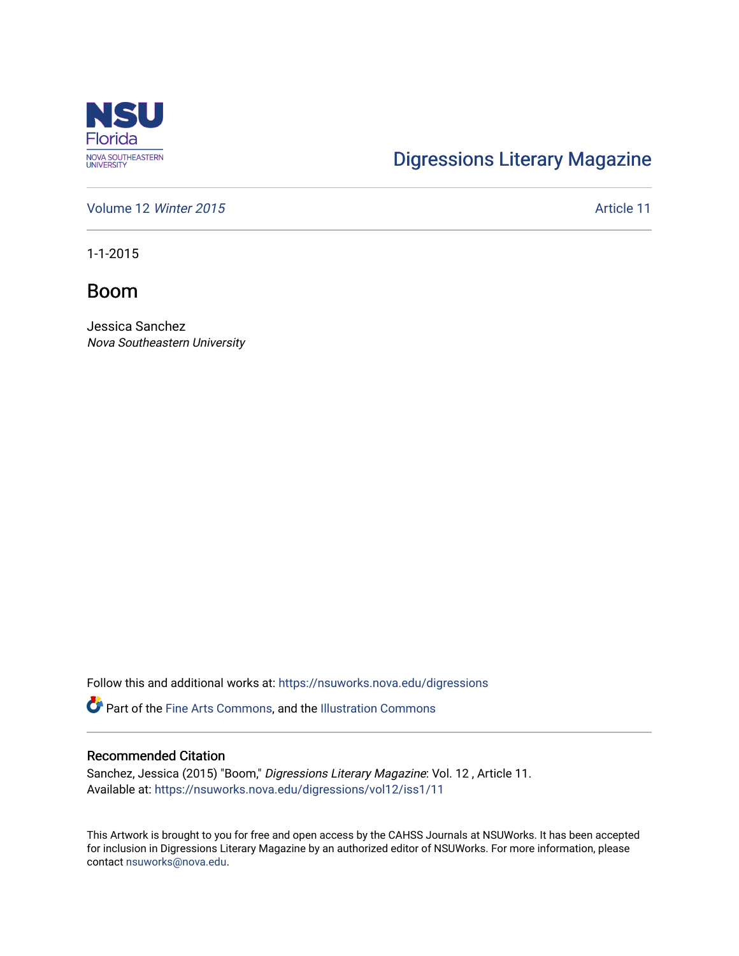

## [Digressions Literary Magazine](https://nsuworks.nova.edu/digressions)

[Volume 12](https://nsuworks.nova.edu/digressions/vol12) Winter 2015 **Article 11** Article 11

1-1-2015

Boom

Jessica Sanchez Nova Southeastern University

Follow this and additional works at: [https://nsuworks.nova.edu/digressions](https://nsuworks.nova.edu/digressions?utm_source=nsuworks.nova.edu%2Fdigressions%2Fvol12%2Fiss1%2F11&utm_medium=PDF&utm_campaign=PDFCoverPages) 

Part of the [Fine Arts Commons,](http://network.bepress.com/hgg/discipline/1141?utm_source=nsuworks.nova.edu%2Fdigressions%2Fvol12%2Fiss1%2F11&utm_medium=PDF&utm_campaign=PDFCoverPages) and the [Illustration Commons](http://network.bepress.com/hgg/discipline/1135?utm_source=nsuworks.nova.edu%2Fdigressions%2Fvol12%2Fiss1%2F11&utm_medium=PDF&utm_campaign=PDFCoverPages)

#### Recommended Citation

Sanchez, Jessica (2015) "Boom," Digressions Literary Magazine: Vol. 12 , Article 11. Available at: [https://nsuworks.nova.edu/digressions/vol12/iss1/11](https://nsuworks.nova.edu/digressions/vol12/iss1/11?utm_source=nsuworks.nova.edu%2Fdigressions%2Fvol12%2Fiss1%2F11&utm_medium=PDF&utm_campaign=PDFCoverPages)

This Artwork is brought to you for free and open access by the CAHSS Journals at NSUWorks. It has been accepted for inclusion in Digressions Literary Magazine by an authorized editor of NSUWorks. For more information, please contact [nsuworks@nova.edu.](mailto:nsuworks@nova.edu)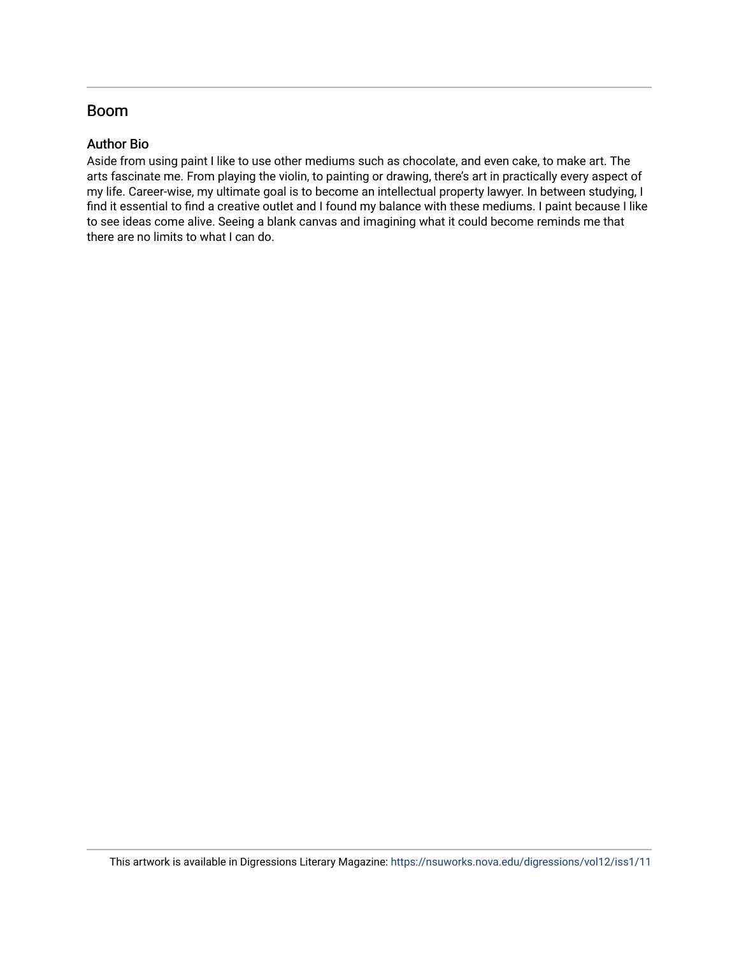### Boom

#### Author Bio

Aside from using paint I like to use other mediums such as chocolate, and even cake, to make art. The arts fascinate me. From playing the violin, to painting or drawing, there's art in practically every aspect of my life. Career-wise, my ultimate goal is to become an intellectual property lawyer. In between studying, I find it essential to find a creative outlet and I found my balance with these mediums. I paint because I like to see ideas come alive. Seeing a blank canvas and imagining what it could become reminds me that there are no limits to what I can do.